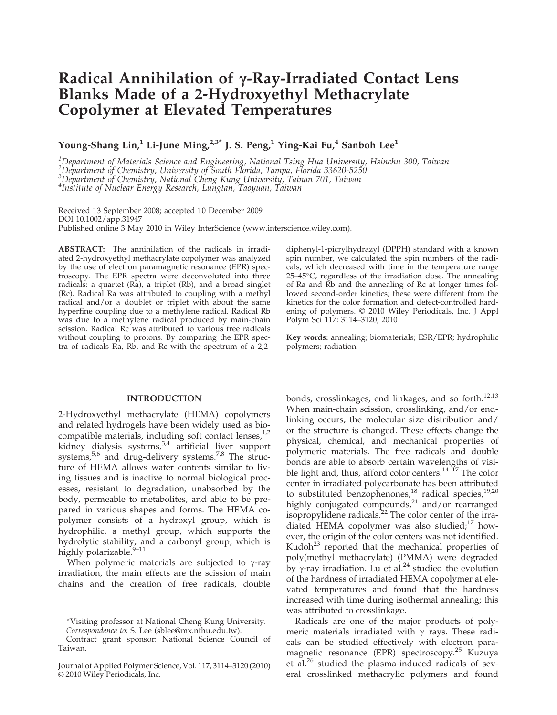# Radical Annihilation of  $\gamma$ -Ray-Irradiated Contact Lens Blanks Made of a 2-Hydroxyethyl Methacrylate Copolymer at Elevated Temperatures

Young-Shang Lin,<sup>1</sup> Li-June Ming,  $2.3^*$  J. S. Peng,<sup>1</sup> Ying-Kai Fu,<sup>4</sup> Sanboh Lee<sup>1</sup>

<sup>1</sup>Department of Materials Science and Engineering, National Tsing Hua University, Hsinchu 300, Taiwan<br><sup>2</sup>Department of Chemistry, University of South Florida, Tampa, Florida 33620-5250<br><sup>3</sup>Department of Chemistry, National

4 Institute of Nuclear Energy Research, Lungtan, Taoyuan, Taiwan

Received 13 September 2008; accepted 10 December 2009 DOI 10.1002/app.31947 Published online 3 May 2010 in Wiley InterScience (www.interscience.wiley.com).

ABSTRACT: The annihilation of the radicals in irradiated 2-hydroxyethyl methacrylate copolymer was analyzed by the use of electron paramagnetic resonance (EPR) spectroscopy. The EPR spectra were deconvoluted into three radicals: a quartet (Ra), a triplet (Rb), and a broad singlet (Rc). Radical Ra was attributed to coupling with a methyl radical and/or a doublet or triplet with about the same hyperfine coupling due to a methylene radical. Radical Rb was due to a methylene radical produced by main-chain scission. Radical Rc was attributed to various free radicals without coupling to protons. By comparing the EPR spectra of radicals Ra, Rb, and Rc with the spectrum of a 2,2-

## INTRODUCTION

2-Hydroxyethyl methacrylate (HEMA) copolymers and related hydrogels have been widely used as biocompatible materials, including soft contact lenses, $1,2$  $k$ idney dialysis systems, $3/4$  artificial liver support systems, $5.6$  and drug-delivery systems.<sup>7,8</sup> The structure of HEMA allows water contents similar to living tissues and is inactive to normal biological processes, resistant to degradation, unabsorbed by the body, permeable to metabolites, and able to be prepared in various shapes and forms. The HEMA copolymer consists of a hydroxyl group, which is hydrophilic, a methyl group, which supports the hydrolytic stability, and a carbonyl group, which is highly polarizable.<sup>9-11</sup>

When polymeric materials are subjected to  $\gamma$ -ray irradiation, the main effects are the scission of main chains and the creation of free radicals, double

diphenyl-1-picrylhydrazyl (DPPH) standard with a known spin number, we calculated the spin numbers of the radicals, which decreased with time in the temperature range  $25-45^{\circ}$ C, regardless of the irradiation dose. The annealing of Ra and Rb and the annealing of Rc at longer times followed second-order kinetics; these were different from the kinetics for the color formation and defect-controlled hardening of polymers.  $\odot$  2010 Wiley Periodicals, Inc. J Appl Polym Sci 117: 3114–3120, 2010

Key words: annealing; biomaterials; ESR/EPR; hydrophilic polymers; radiation

bonds, crosslinkages, end linkages, and so forth.<sup>12,13</sup> When main-chain scission, crosslinking, and/or endlinking occurs, the molecular size distribution and/ or the structure is changed. These effects change the physical, chemical, and mechanical properties of polymeric materials. The free radicals and double bonds are able to absorb certain wavelengths of visible light and, thus, afford color centers.<sup>14–17</sup> The color center in irradiated polycarbonate has been attributed to substituted benzophenones,<sup>18</sup> radical species,<sup>19,20</sup> highly conjugated compounds,<sup>21</sup> and/or rearranged isopropylidene radicals.<sup>22</sup> The color center of the irradiated HEMA copolymer was also studied; $17$  however, the origin of the color centers was not identified. Kudoh $^{23}$  reported that the mechanical properties of poly(methyl methacrylate) (PMMA) were degraded by  $\gamma$ -ray irradiation. Lu et al.<sup>24</sup> studied the evolution of the hardness of irradiated HEMA copolymer at elevated temperatures and found that the hardness increased with time during isothermal annealing; this was attributed to crosslinkage.

Radicals are one of the major products of polymeric materials irradiated with  $\gamma$  rays. These radicals can be studied effectively with electron paramagnetic resonance (EPR) spectroscopy.<sup>25</sup> Kuzuya et al.<sup>26</sup> studied the plasma-induced radicals of several crosslinked methacrylic polymers and found

<sup>\*</sup>Visiting professor at National Cheng Kung University. Correspondence to: S. Lee (sblee@mx.nthu.edu.tw).

Contract grant sponsor: National Science Council of Taiwan.

Journal of Applied Polymer Science, Vol. 117, 3114–3120 (2010)  $©$  2010 Wiley Periodicals, Inc.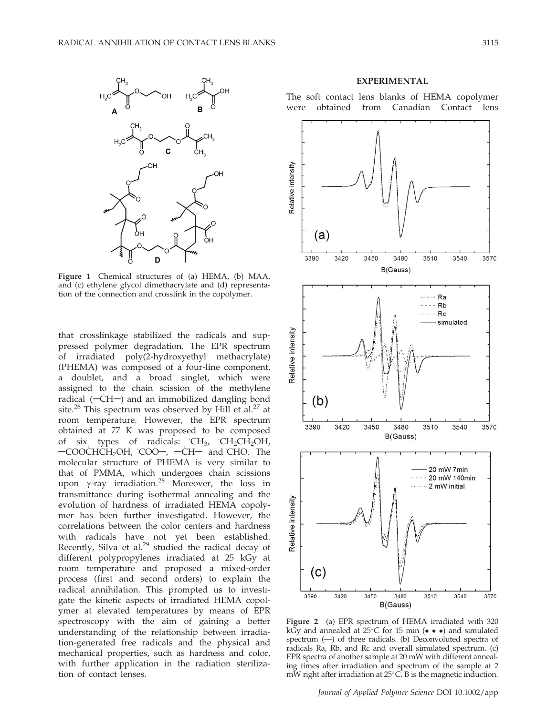

Figure 1 Chemical structures of (a) HEMA, (b) MAA, and (c) ethylene glycol dimethacrylate and (d) representation of the connection and crosslink in the copolymer.

that crosslinkage stabilized the radicals and suppressed polymer degradation. The EPR spectrum of irradiated poly(2-hydroxyethyl methacrylate) (PHEMA) was composed of a four-line component, a doublet, and a broad singlet, which were assigned to the chain scission of the methylene radical  $(-CH-)$  and an immobilized dangling bond site.<sup>26</sup> This spectrum was observed by Hill et al.<sup>27</sup> at room temperature. However, the EPR spectrum obtained at 77 K was proposed to be composed of six types of radicals:  $CH_3$ ,  $CH_2CH_2OH$ ,  $-COOCHCH_2OH$ ,  $COO-,$   $-CH-$  and CHO. The molecular structure of PHEMA is very similar to that of PMMA, which undergoes chain scissions upon  $\gamma$ -ray irradiation.<sup>28</sup> Moreover, the loss in transmittance during isothermal annealing and the evolution of hardness of irradiated HEMA copolymer has been further investigated. However, the correlations between the color centers and hardness with radicals have not yet been established. Recently, Silva et al.<sup>29</sup> studied the radical decay of different polypropylenes irradiated at 25 kGy at room temperature and proposed a mixed-order process (first and second orders) to explain the radical annihilation. This prompted us to investigate the kinetic aspects of irradiated HEMA copolymer at elevated temperatures by means of EPR spectroscopy with the aim of gaining a better understanding of the relationship between irradiation-generated free radicals and the physical and mechanical properties, such as hardness and color, with further application in the radiation sterilization of contact lenses.

#### EXPERIMENTAL

The soft contact lens blanks of HEMA copolymer were obtained from Canadian Contact lens



Figure 2 (a) EPR spectrum of HEMA irradiated with 320 kGy and annealed at  $25^{\circ}$ C for 15 min ( $\bullet \bullet \bullet$ ) and simulated spectrum (—) of three radicals. (b) Deconvoluted spectra of radicals Ra, Rb, and Rc and overall simulated spectrum. (c) EPR spectra of another sample at 20 mW with different annealing times after irradiation and spectrum of the sample at 2 mW right after irradiation at  $25^{\circ}$ C. B is the magnetic induction.

Journal of Applied Polymer Science DOI 10.1002/app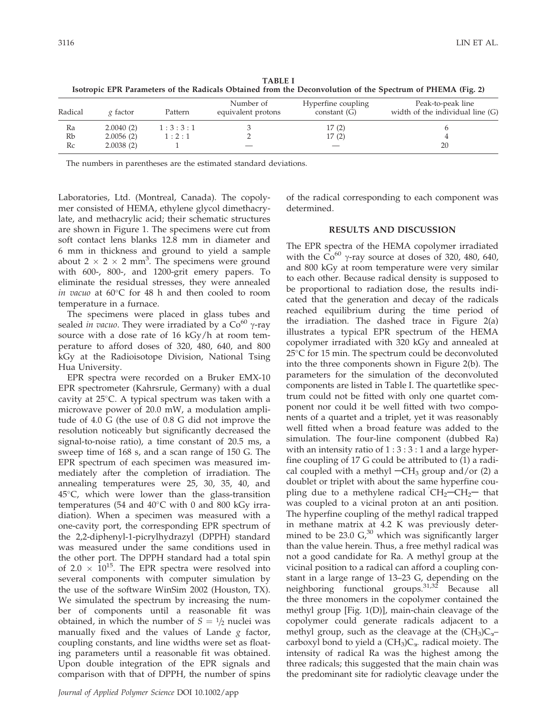| <b>TABLE I</b> |                                                                                                            |  |                    |  |                   |
|----------------|------------------------------------------------------------------------------------------------------------|--|--------------------|--|-------------------|
|                | Isotropic EPR Parameters of the Radicals Obtained from the Deconvolution of the Spectrum of PHEMA (Fig. 2) |  |                    |  |                   |
|                | Number of                                                                                                  |  | Hyperfine coupling |  | Peak-to-peak line |

| Radical | g factor  | Pattern | Number of<br>equivalent protons | Hyperfine coupling<br>constant $(G)$ | Peak-to-peak line<br>width of the individual line (G) |
|---------|-----------|---------|---------------------------------|--------------------------------------|-------------------------------------------------------|
| Ra      | 2.0040(2) | 1:3:3:1 |                                 | 17(2)                                |                                                       |
| Rb      | 2.0056(2) | 1:2:1   |                                 | 17(2)                                |                                                       |
| Rc      | 2.0038(2) |         |                                 |                                      | 20                                                    |

The numbers in parentheses are the estimated standard deviations.

Laboratories, Ltd. (Montreal, Canada). The copolymer consisted of HEMA, ethylene glycol dimethacrylate, and methacrylic acid; their schematic structures are shown in Figure 1. The specimens were cut from soft contact lens blanks 12.8 mm in diameter and 6 mm in thickness and ground to yield a sample about  $2 \times 2 \times 2$  mm<sup>3</sup>. The specimens were ground with 600-, 800-, and 1200-grit emery papers. To eliminate the residual stresses, they were annealed in vacuo at  $60^{\circ}$ C for 48 h and then cooled to room temperature in a furnace.

The specimens were placed in glass tubes and sealed *in vacuo*. They were irradiated by a  $Co^{60}$   $\gamma$ -ray source with a dose rate of 16 kGy/h at room temperature to afford doses of 320, 480, 640, and 800 kGy at the Radioisotope Division, National Tsing Hua University.

EPR spectra were recorded on a Bruker EMX-10 EPR spectrometer (Kahrsrule, Germany) with a dual cavity at  $25^{\circ}$ C. A typical spectrum was taken with a microwave power of 20.0 mW, a modulation amplitude of 4.0 G (the use of 0.8 G did not improve the resolution noticeably but significantly decreased the signal-to-noise ratio), a time constant of 20.5 ms, a sweep time of 168 s, and a scan range of 150 G. The EPR spectrum of each specimen was measured immediately after the completion of irradiation. The annealing temperatures were 25, 30, 35, 40, and  $45^{\circ}$ C, which were lower than the glass-transition temperatures (54 and  $40^{\circ}$ C with 0 and 800 kGy irradiation). When a specimen was measured with a one-cavity port, the corresponding EPR spectrum of the 2,2-diphenyl-1-picrylhydrazyl (DPPH) standard was measured under the same conditions used in the other port. The DPPH standard had a total spin of 2.0  $\times$  10<sup>15</sup>. The EPR spectra were resolved into several components with computer simulation by the use of the software WinSim 2002 (Houston, TX). We simulated the spectrum by increasing the number of components until a reasonable fit was obtained, in which the number of  $S = \frac{1}{2}$  nuclei was manually fixed and the values of Lande  $g$  factor, coupling constants, and line widths were set as floating parameters until a reasonable fit was obtained. Upon double integration of the EPR signals and comparison with that of DPPH, the number of spins

of the radical corresponding to each component was determined.

## RESULTS AND DISCUSSION

The EPR spectra of the HEMA copolymer irradiated with the  $\tilde{Co}^{60}$   $\gamma$ -ray source at doses of 320, 480, 640, and 800 kGy at room temperature were very similar to each other. Because radical density is supposed to be proportional to radiation dose, the results indicated that the generation and decay of the radicals reached equilibrium during the time period of the irradiation. The dashed trace in Figure 2(a) illustrates a typical EPR spectrum of the HEMA copolymer irradiated with 320 kGy and annealed at  $25^{\circ}$ C for 15 min. The spectrum could be deconvoluted into the three components shown in Figure 2(b). The parameters for the simulation of the deconvoluted components are listed in Table I. The quartetlike spectrum could not be fitted with only one quartet component nor could it be well fitted with two components of a quartet and a triplet, yet it was reasonably well fitted when a broad feature was added to the simulation. The four-line component (dubbed Ra) with an intensity ratio of  $1:3:3:1$  and a large hyperfine coupling of 17 G could be attributed to (1) a radical coupled with a methyl  $-CH_3$  group and/or (2) a doublet or triplet with about the same hyperfine coupling due to a methylene radical  $CH_2$ – $CH_2$ –that was coupled to a vicinal proton at an anti position. The hyperfine coupling of the methyl radical trapped in methane matrix at 4.2 K was previously determined to be 23.0  $G<sub>1</sub><sup>30</sup>$  which was significantly larger than the value herein. Thus, a free methyl radical was not a good candidate for Ra. A methyl group at the vicinal position to a radical can afford a coupling constant in a large range of 13–23 G, depending on the neighboring functional groups.31,32 Because all the three monomers in the copolymer contained the methyl group [Fig. 1(D)], main-chain cleavage of the copolymer could generate radicals adjacent to a methyl group, such as the cleavage at the  $(CH_3)C_{\alpha}$ carboxyl bond to yield a (CH<sub>3</sub>)C<sub>a</sub>, radical moiety. The intensity of radical Ra was the highest among the three radicals; this suggested that the main chain was the predominant site for radiolytic cleavage under the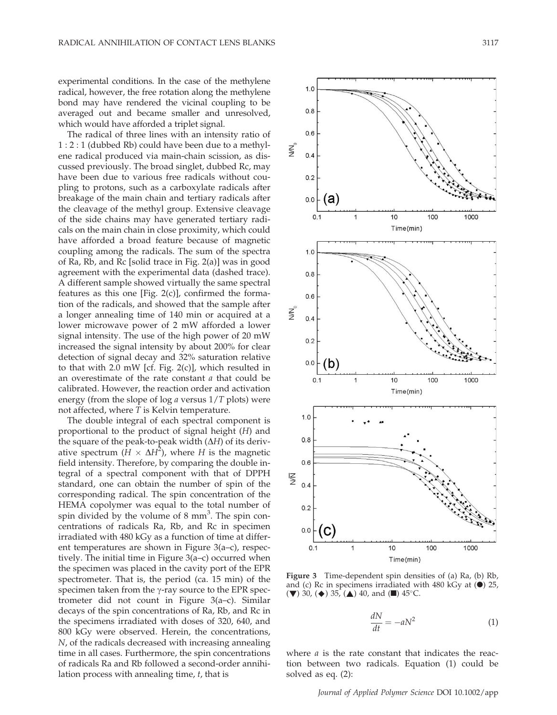experimental conditions. In the case of the methylene radical, however, the free rotation along the methylene bond may have rendered the vicinal coupling to be averaged out and became smaller and unresolved, which would have afforded a triplet signal.

The radical of three lines with an intensity ratio of 1 : 2 : 1 (dubbed Rb) could have been due to a methylene radical produced via main-chain scission, as discussed previously. The broad singlet, dubbed Rc, may have been due to various free radicals without coupling to protons, such as a carboxylate radicals after breakage of the main chain and tertiary radicals after the cleavage of the methyl group. Extensive cleavage of the side chains may have generated tertiary radicals on the main chain in close proximity, which could have afforded a broad feature because of magnetic coupling among the radicals. The sum of the spectra of Ra, Rb, and Rc [solid trace in Fig. 2(a)] was in good agreement with the experimental data (dashed trace). A different sample showed virtually the same spectral features as this one [Fig. 2(c)], confirmed the formation of the radicals, and showed that the sample after a longer annealing time of 140 min or acquired at a lower microwave power of 2 mW afforded a lower signal intensity. The use of the high power of 20 mW increased the signal intensity by about 200% for clear detection of signal decay and 32% saturation relative to that with 2.0 mW [cf. Fig. 2(c)], which resulted in an overestimate of the rate constant a that could be calibrated. However, the reaction order and activation energy (from the slope of  $log a$  versus  $1/T$  plots) were not affected, where  $T$  is Kelvin temperature.

The double integral of each spectral component is proportional to the product of signal height (H) and the square of the peak-to-peak width  $(\Delta H)$  of its derivative spectrum  $(H \times \Delta H^2)$ , where H is the magnetic field intensity. Therefore, by comparing the double integral of a spectral component with that of DPPH standard, one can obtain the number of spin of the corresponding radical. The spin concentration of the HEMA copolymer was equal to the total number of spin divided by the volume of  $8 \text{ mm}^3$ . The spin concentrations of radicals Ra, Rb, and Rc in specimen irradiated with 480 kGy as a function of time at different temperatures are shown in Figure 3(a–c), respectively. The initial time in Figure 3(a–c) occurred when the specimen was placed in the cavity port of the EPR spectrometer. That is, the period (ca. 15 min) of the specimen taken from the  $\gamma$ -ray source to the EPR spectrometer did not count in Figure 3(a–c). Similar decays of the spin concentrations of Ra, Rb, and Rc in the specimens irradiated with doses of 320, 640, and 800 kGy were observed. Herein, the concentrations, N, of the radicals decreased with increasing annealing time in all cases. Furthermore, the spin concentrations of radicals Ra and Rb followed a second-order annihilation process with annealing time, t, that is



Figure 3 Time-dependent spin densities of (a) Ra, (b) Rb, and (c) Rc in specimens irradiated with 480 kGy at  $(\bullet)$  25,  $(\blacktriangledown)$  30,  $(\blacktriangle)$  35,  $(\triangle)$  40, and  $(\blacksquare)$  45°C.

$$
\frac{dN}{dt} = -aN^2\tag{1}
$$

where *a* is the rate constant that indicates the reaction between two radicals. Equation (1) could be solved as eq. (2):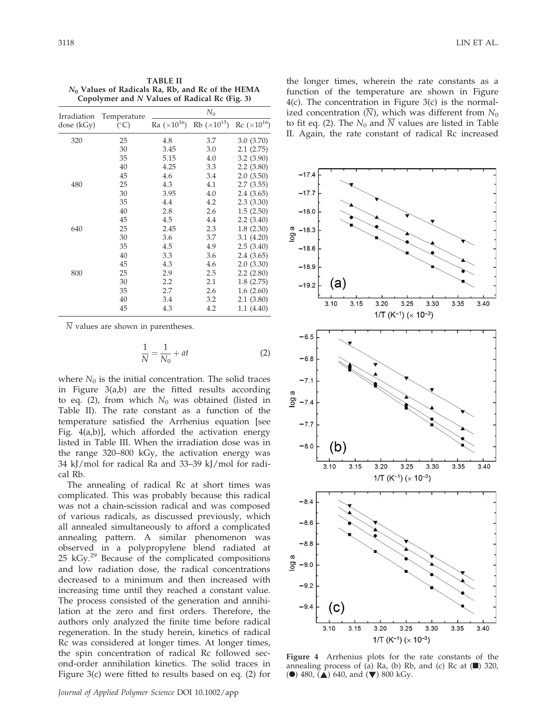| Irradiation | Temperature  | $N_0$                 |                       |                 |  |
|-------------|--------------|-----------------------|-----------------------|-----------------|--|
| dose (kGy)  | $(^\circ C)$ | Ra $(\times 10^{16})$ | Rb $(\times 10^{15})$ | $Rc (×10^{16})$ |  |
| 320         | 25           | 4.8                   | 3.7                   | 3.0(3.70)       |  |
|             | 30           | 3.45                  | 3.0                   | 2.1(2.75)       |  |
|             | 35           | 5.15                  | 4.0                   | 3.2(3.90)       |  |
|             | 40           | 4.25                  | 3.3                   | 2.2(3.80)       |  |
|             | 45           | 4.6                   | 3.4                   | 2.0(3.50)       |  |
| 480         | 25           | 4.3                   | 4.1                   | 2.7(3.55)       |  |
|             | 30           | 3.95                  | 4.0                   | 2.4(3.65)       |  |
|             | 35           | 4.4                   | 4.2                   | 2.3(3.30)       |  |
|             | 40           | 2.8                   | 2.6                   | 1.5(2.50)       |  |
|             | 45           | 4.5                   | 4.4                   | 2.2(3.40)       |  |
| 640         | 25           | 2.45                  | 2.3                   | 1.8(2.30)       |  |
|             | 30           | 3.6                   | 3.7                   | 3.1(4.20)       |  |
|             | 35           | 4.5                   | 4.9                   | 2.5(3.40)       |  |
|             | 40           | 3.3                   | 3.6                   | 2.4(3.65)       |  |
|             | 45           | 4.3                   | 4.6                   | 2.0(3.30)       |  |
| 800         | 25           | 2.9                   | 2.5                   | 2.2(2.80)       |  |
|             | 30           | 2.2                   | 2.1                   | 1.8(2.75)       |  |
|             | 35           | 2.7                   | 2.6                   | 1.6(2.60)       |  |
|             | 40           | 3.4                   | 3.2                   | 2.1(3.80)       |  |
|             | 45           | 4.3                   | 4.2                   | 1.1(4.40)       |  |
|             |              |                       |                       |                 |  |

TABLE II  $N_0$  Values of Radicals Ra, Rb, and Rc of the HEMA Copolymer and N Values of Radical Rc (Fig. 3)

N values are shown in parentheses.

$$
\frac{1}{N} = \frac{1}{N_0} + at
$$
 (2)

where  $N_0$  is the initial concentration. The solid traces in Figure 3(a,b) are the fitted results according to eq. (2), from which  $N_0$  was obtained (listed in Table II). The rate constant as a function of the temperature satisfied the Arrhenius equation [see Fig. 4(a,b)], which afforded the activation energy listed in Table III. When the irradiation dose was in the range 320–800 kGy, the activation energy was 34 kJ/mol for radical Ra and 33–39 kJ/mol for radical Rb.

The annealing of radical Rc at short times was complicated. This was probably because this radical was not a chain-scission radical and was composed of various radicals, as discussed previously, which all annealed simultaneously to afford a complicated annealing pattern. A similar phenomenon was observed in a polypropylene blend radiated at 25 kGy.<sup>29</sup> Because of the complicated compositions and low radiation dose, the radical concentrations decreased to a minimum and then increased with increasing time until they reached a constant value. The process consisted of the generation and annihilation at the zero and first orders. Therefore, the authors only analyzed the finite time before radical regeneration. In the study herein, kinetics of radical Rc was considered at longer times. At longer times, the spin concentration of radical Rc followed second-order annihilation kinetics. The solid traces in Figure 3(c) were fitted to results based on eq. (2) for

the longer times, wherein the rate constants as a function of the temperature are shown in Figure 4(c). The concentration in Figure 3(c) is the normalized concentration  $(N)$ , which was different from  $N_0$ to fit eq. (2). The  $N_0$  and  $\overline{N}$  values are listed in Table II. Again, the rate constant of radical Rc increased



Figure 4 Arrhenius plots for the rate constants of the annealing process of (a) Ra, (b) Rb, and (c) Rc at  $(\blacksquare)$  320, ( $\bullet$ ) 480, ( $\triangle$ ) 640, and ( $\nabla$ ) 800 kGy.

Journal of Applied Polymer Science DOI 10.1002/app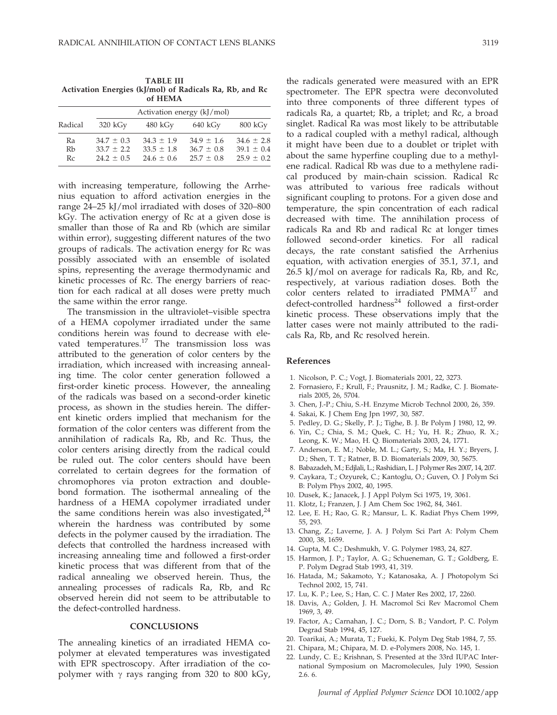TABLE III Activation Energies (kJ/mol) of Radicals Ra, Rb, and Rc of HEMA

|          |                                | Activation energy $(kJ/mol)$     |                                |                                |  |  |
|----------|--------------------------------|----------------------------------|--------------------------------|--------------------------------|--|--|
| Radical  | $320 \text{ kGy}$              | $480 \text{ kGy}$                | $640 \text{ kGy}$              | 800 kGy                        |  |  |
| Ra<br>Rb | $34.7 \pm 0.3$<br>$33.7 + 2.2$ | $34.3 \pm 1.9$<br>$33.5 \pm 1.8$ | $34.9 \pm 1.6$<br>$36.7 + 0.8$ | $34.6 \pm 2.8$<br>$39.1 + 0.4$ |  |  |
| Rc       | $24.2 + 0.5$                   | $24.6 + 0.6$                     | $25.7 + 0.8$                   | $25.9 + 0.2$                   |  |  |

with increasing temperature, following the Arrhenius equation to afford activation energies in the range 24–25 kJ/mol irradiated with doses of 320–800 kGy. The activation energy of Rc at a given dose is smaller than those of Ra and Rb (which are similar within error), suggesting different natures of the two groups of radicals. The activation energy for Rc was possibly associated with an ensemble of isolated spins, representing the average thermodynamic and kinetic processes of Rc. The energy barriers of reaction for each radical at all doses were pretty much the same within the error range.

The transmission in the ultraviolet–visible spectra of a HEMA copolymer irradiated under the same conditions herein was found to decrease with elevated temperatures.<sup>17</sup> The transmission loss was attributed to the generation of color centers by the irradiation, which increased with increasing annealing time. The color center generation followed a first-order kinetic process. However, the annealing of the radicals was based on a second-order kinetic process, as shown in the studies herein. The different kinetic orders implied that mechanism for the formation of the color centers was different from the annihilation of radicals Ra, Rb, and Rc. Thus, the color centers arising directly from the radical could be ruled out. The color centers should have been correlated to certain degrees for the formation of chromophores via proton extraction and doublebond formation. The isothermal annealing of the hardness of a HEMA copolymer irradiated under the same conditions herein was also investigated, $24$ wherein the hardness was contributed by some defects in the polymer caused by the irradiation. The defects that controlled the hardness increased with increasing annealing time and followed a first-order kinetic process that was different from that of the radical annealing we observed herein. Thus, the annealing processes of radicals Ra, Rb, and Rc observed herein did not seem to be attributable to the defect-controlled hardness.

### **CONCLUSIONS**

The annealing kinetics of an irradiated HEMA copolymer at elevated temperatures was investigated with EPR spectroscopy. After irradiation of the copolymer with  $\gamma$  rays ranging from 320 to 800 kGy,

the radicals generated were measured with an EPR spectrometer. The EPR spectra were deconvoluted into three components of three different types of radicals Ra, a quartet; Rb, a triplet; and Rc, a broad singlet. Radical Ra was most likely to be attributable to a radical coupled with a methyl radical, although it might have been due to a doublet or triplet with about the same hyperfine coupling due to a methylene radical. Radical Rb was due to a methylene radical produced by main-chain scission. Radical Rc was attributed to various free radicals without significant coupling to protons. For a given dose and temperature, the spin concentration of each radical decreased with time. The annihilation process of radicals Ra and Rb and radical Rc at longer times followed second-order kinetics. For all radical decays, the rate constant satisfied the Arrhenius equation, with activation energies of 35.1, 37.1, and 26.5 kJ/mol on average for radicals Ra, Rb, and Rc, respectively, at various radiation doses. Both the color centers related to irradiated  $PMMA<sup>17</sup>$  and defect-controlled hardness $^{24}$  followed a first-order kinetic process. These observations imply that the latter cases were not mainly attributed to the radicals Ra, Rb, and Rc resolved herein.

#### References

- 1. Nicolson, P. C.; Vogt, J. Biomaterials 2001, 22, 3273.
- 2. Fornasiero, F.; Krull, F.; Prausnitz, J. M.; Radke, C. J. Biomaterials 2005, 26, 5704.
- 3. Chen, J.-P.; Chiu, S.-H. Enzyme Microb Technol 2000, 26, 359.
- 4. Sakai, K. J Chem Eng Jpn 1997, 30, 587.
- 5. Pedley, D. G.; Skelly, P. J.; Tighe, B. J. Br Polym J 1980, 12, 99.
- 6. Yin, C.; Chia, S. M.; Quek, C. H.; Yu, H. R.; Zhuo, R. X.; Leong, K. W.; Mao, H. Q. Biomaterials 2003, 24, 1771.
- 7. Anderson, E. M.; Noble, M. L.; Garty, S.; Ma, H. Y.; Bryers, J. D.; Shen, T. T.; Ratner, B. D. Biomaterials 2009, 30, 5675.
- 8. Babazadeh, M.; Edjlali, L.; Rashidian, L. J Polymer Res 2007, 14, 207.
- 9. Caykara, T.; Ozyurek, C.; Kantoglu, O.; Guven, O. J Polym Sci B: Polym Phys 2002, 40, 1995.
- 10. Dusek, K.; Janacek, J. J Appl Polym Sci 1975, 19, 3061.
- 11. Klotz, I.; Franzen, J. J Am Chem Soc 1962, 84, 3461.
- 12. Lee, E. H.; Rao, G. R.; Mansur, L. K. Radiat Phys Chem 1999, 55, 293.
- 13. Chang, Z.; Laverne, J. A. J Polym Sci Part A: Polym Chem 2000, 38, 1659.
- 14. Gupta, M. C.; Deshmukh, V. G. Polymer 1983, 24, 827.
- 15. Harmon, J. P.; Taylor, A. G.; Schueneman, G. T.; Goldberg, E. P. Polym Degrad Stab 1993, 41, 319.
- 16. Hatada, M.; Sakamoto, Y.; Katanosaka, A. J Photopolym Sci Technol 2002, 15, 741.
- 17. Lu, K. P.; Lee, S.; Han, C. C. J Mater Res 2002, 17, 2260.
- 18. Davis, A.; Golden, J. H. Macromol Sci Rev Macromol Chem 1969, 3, 49.
- 19. Factor, A.; Carnahan, J. C.; Dorn, S. B.; Vandort, P. C. Polym Degrad Stab 1994, 45, 127.
- 20. Toarikai, A.; Murata, T.; Fueki, K. Polym Deg Stab 1984, 7, 55.
- 21. Chipara, M.; Chipara, M. D. e-Polymers 2008, No. 145, 1.
- 22. Lundy, C. E.; Krishnan, S. Presented at the 33rd IUPAC International Symposium on Macromolecules, July 1990, Session 2.6. 6.